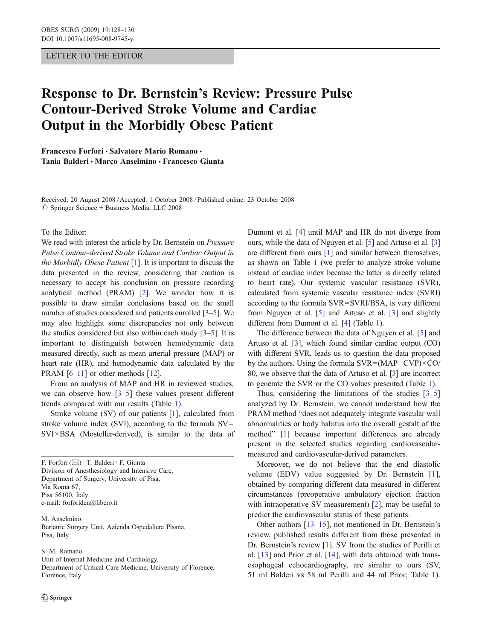### LETTER TO THE EDITOR

# Response to Dr. Bernstein*'*s Review: Pressure Pulse Contour-Derived Stroke Volume and Cardiac Output in the Morbidly Obese Patient

Francesco Forfori · Salvatore Mario Romano · Tania Balderi & Marco Anselmino & Francesco Giunta

Received: 20 August 2008 /Accepted: 1 October 2008 / Published online: 23 October 2008  $\oslash$  Springer Science + Business Media, LLC 2008

#### To the Editor:

We read with interest the article by Dr. Bernstein on Pressure Pulse Contour-derived Stroke Volume and Cardiac Output in the Morbidly Obese Patient [\[1](#page-1-0)]. It is important to discuss the data presented in the review, considering that caution is necessary to accept his conclusion on pressure recording analytical method (PRAM) [\[2](#page-1-0)]. We wonder how it is possible to draw similar conclusions based on the small number of studies considered and patients enrolled [[3](#page-1-0)–[5](#page-1-0)]. We may also highlight some discrepancies not only between the studies considered but also within each study [[3](#page-1-0)–[5](#page-1-0)]. It is important to distinguish between hemodynamic data measured directly, such as mean arterial pressure (MAP) or heart rate (HR), and hemodynamic data calculated by the PRAM [\[6](#page-1-0)–[11\]](#page-1-0) or other methods [[12](#page-2-0)].

From an analysis of MAP and HR in reviewed studies, we can observe how [\[3](#page-1-0)–[5](#page-1-0)] these values present different trends compared with our results (Table [1](#page-1-0)).

Stroke volume (SV) of our patients [\[1](#page-1-0)], calculated from stroke volume index (SVI), according to the formula  $SV=$ SVI×BSA (Mosteller-derived), is similar to the data of

F. Forfori (*\**) : T. Balderi : F. Giunta Division of Anesthesiology and Intensive Care, Department of Surgery, University of Pisa, Via Roma 67, Pisa 56100, Italy e-mail: forforiden@libero.it

M. Anselmino Bariatric Surgery Unit, Azienda Ospedaliera Pisana, Pisa, Italy

S. M. Romano

Unit of Internal Medicine and Cardiology,

Department of Critical Care Medicine, University of Florence, Florence, Italy

Dumont et al. [\[4\]](#page-1-0) until MAP and HR do not diverge from ours, while the data of Nguyen et al. [[5\]](#page-1-0) and Artuso et al. [\[3](#page-1-0)] are different from ours [[1](#page-1-0)] and similar between themselves, as shown on Table [1](#page-1-0) (we prefer to analyze stroke volume instead of cardiac index because the latter is directly related to heart rate). Our systemic vascular resistance (SVR), calculated from systemic vascular resistance index (SVRI) according to the formula SVR=SVRI/BSA, is very different from Nguyen et al. [\[5](#page-1-0)] and Artuso et al. [\[3\]](#page-1-0) and slightly different from Dumont et al. [\[4](#page-1-0)] (Table [1](#page-1-0)).

The difference between the data of Nguyen et al. [[5\]](#page-1-0) and Artuso et al. [\[3\]](#page-1-0), which found similar cardiac output (CO) with different SVR, leads us to question the data proposed by the authors. Using the formula SVR=(MAP*−*CVP)×CO/ 80, we observe that the data of Artuso et al. [[3\]](#page-1-0) are incorrect to generate the SVR or the CO values presented (Table [1](#page-1-0)).

Thus, considering the limitations of the studies [\[3](#page-1-0)–[5](#page-1-0)] analyzed by Dr. Bernstein, we cannot understand how the PRAM method "does not adequately integrate vascular wall abnormalities or body habitus into the overall gestalt of the method" [[1\]](#page-1-0) because important differences are already present in the selected studies regarding cardiovascularmeasured and cardiovascular-derived parameters.

Moreover, we do not believe that the end diastolic volume (EDV) value suggested by Dr. Bernstein [\[1](#page-1-0)], obtained by comparing different data measured in different circumstances (preoperative ambulatory ejection fraction with intraoperative SV measurement) [[2\]](#page-1-0), may be useful to predict the cardiovascular status of these patients.

Other authors [[13](#page-2-0)–[15\]](#page-2-0), not mentioned in Dr. Bernstein's review, published results different from those presented in Dr. Bernstein's review [[1\]](#page-1-0). SV from the studies of Perilli et al. [\[13](#page-2-0)] and Prior et al. [[14\]](#page-2-0), with data obtained with transesophageal echocardiography, are similar to ours (SV, 51 ml Balderi vs 58 ml Perilli and 44 ml Prior; Table [1\)](#page-1-0).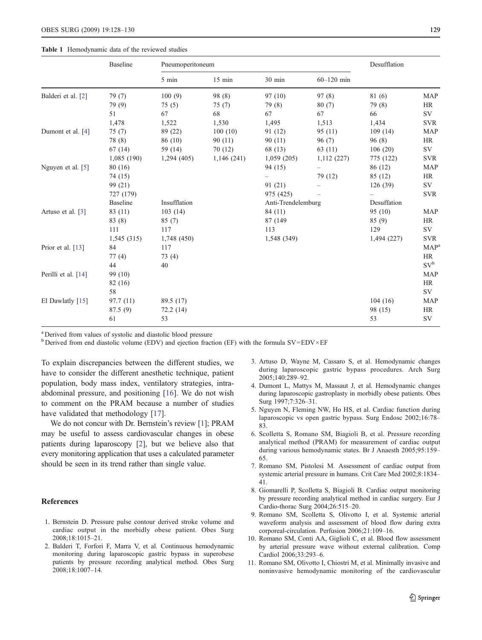#### <span id="page-1-0"></span>Table 1 Hemodynamic data of the reviewed studies

|                     | <b>Baseline</b> | Pneumoperitoneum |                    |             |                | Desufflation |               |
|---------------------|-----------------|------------------|--------------------|-------------|----------------|--------------|---------------|
|                     |                 | 5 min            | $15$ min           | 30 min      | $60 - 120$ min |              |               |
| Balderi et al. [2]  | 79 (7)          | 100(9)           | 98 (8)             | 97(10)      | 97(8)          | 81 (6)       | <b>MAP</b>    |
|                     | 79 (9)          | 75(5)            | 75(7)              | 79 (8)      | 80(7)          | 79 (8)       | HR            |
|                     | 51              | 67               | 68                 | 67          | 67             | 66           | SV            |
|                     | 1,478           | 1,522            | 1,530              | 1,495       | 1,513          | 1,434        | <b>SVR</b>    |
| Dumont et al. [4]   | 75(7)           | 89 (22)          | 100(10)            | 91 (12)     | 95(11)         | 109(14)      | <b>MAP</b>    |
|                     | 78 (8)          | 86 (10)          | 90(11)             | 90(11)      | 96(7)          | 96(8)        | HR            |
|                     | 67(14)          | 59 (14)          | 70(12)             | 68 (13)     | 63 (11)        | 106(20)      | SV            |
|                     | 1,085(190)      | 1,294(405)       | 1,146(241)         | 1,059(205)  | 1,112(227)     | 775 (122)    | <b>SVR</b>    |
| Nguyen et al. [5]   | 80 (16)         |                  |                    | 94 (15)     |                | 86 (12)      | <b>MAP</b>    |
|                     | 74 (15)         |                  |                    |             | 79 (12)        | 85 (12)      | HR            |
|                     | 99 (21)         |                  |                    | 91 (21)     |                | 126(39)      | SV            |
|                     | 727 (179)       |                  |                    | 975 (425)   |                |              | <b>SVR</b>    |
|                     | <b>Baseline</b> | Insufflation     | Anti-Trendelemburg |             | Desuffation    |              |               |
| Artuso et al. [3]   | 83 (11)         | 103(14)          |                    | 84 (11)     |                | 95(10)       | <b>MAP</b>    |
|                     | 83(8)           | 85(7)            |                    | 87 (149)    |                | 85(9)        | HR            |
|                     | 111             | 117              |                    | 113         |                | 129          | SV            |
|                     | 1,545(315)      | 1,748 (450)      |                    | 1,548 (349) |                | 1,494 (227)  | <b>SVR</b>    |
| Prior et al. [13]   | 84              | 117              |                    |             |                |              | $MAP^{\circ}$ |
|                     | 77(4)           | 73(4)            |                    |             |                |              | HR            |
|                     | 44              | 40               |                    |             |                |              | $SV^b$        |
| Perilli et al. [14] | 99 (10)         |                  |                    |             |                |              | <b>MAP</b>    |
|                     | 82 (16)         |                  |                    |             |                |              | HR            |
|                     | 58              |                  |                    |             |                |              | SV            |
| El Dawlatly [15]    | 97.7(11)        | 89.5 (17)        |                    |             |                | 104(16)      | <b>MAP</b>    |
|                     | 87.5 (9)        | 72.2(14)         |                    |             |                | 98 (15)      | HR            |
|                     | 61              | 53               |                    |             |                | 53           | <b>SV</b>     |

<sup>a</sup> Derived from values of systolic and diastolic blood pressure

 $b$  Derived from end diastolic volume (EDV) and ejection fraction (EF) with the formula SV=EDV×EF

To explain discrepancies between the different studies, we have to consider the different anesthetic technique, patient population, body mass index, ventilatory strategies, intraabdominal pressure, and positioning [[16\]](#page-2-0). We do not wish to comment on the PRAM because a number of studies have validated that methodology [\[17](#page-2-0)].

We do not concur with Dr. Bernstein's review [1]; PRAM may be useful to assess cardiovascular changes in obese patients during laparoscopy [2], but we believe also that every monitoring application that uses a calculated parameter should be seen in its trend rather than single value.

## References

- 1. Bernstein D. Pressure pulse contour derived stroke volume and cardiac output in the morbidly obese patient. Obes Surg 2008;18:1015–21.
- 2. Balderi T, Forfori F, Marra V, et al. Continuous hemodynamic monitoring during laparoscopic gastric bypass in superobese patients by pressure recording analytical method. Obes Surg 2008;18:1007–14.
- 3. Artuso D, Wayne M, Cassaro S, et al. Hemodynamic changes during laparoscopic gastric bypass procedures. Arch Surg 2005;140:289–92.
- 4. Dumont L, Mattys M, Massaut J, et al. Hemodynamic changes during laparoscopic gastroplasty in morbidly obese patients. Obes Surg 1997;7:326–31.
- 5. Nguyen N, Fleming NW, Ho HS, et al. Cardiac function during laparoscopic vs open gastric bypass. Surg Endosc 2002;16:78– 83.
- 6. Scolletta S, Romano SM, Biagioli B, et al. Pressure recording analytical method (PRAM) for measurement of cardiac output during various hemodynamic states. Br J Anaesth 2005;95:159– 65.
- 7. Romano SM, Pistolesi M. Assessment of cardiac output from systemic arterial pressure in humans. Crit Care Med 2002;8:1834– 41.
- 8. Giomarelli P, Scolletta S, Biagioli B. Cardiac output monitoring by pressure recording analytical method in cardiac surgery. Eur J Cardio-thorac Surg 2004;26:515–20.
- 9. Romano SM, Scolletta S, Olivotto I, et al. Systemic arterial waveform analysis and assessment of blood flow during extra corporeal-circulation. Perfusion 2006;21:109–16.
- 10. Romano SM, Conti AA, Giglioli C, et al. Blood flow assessment by arterial pressure wave without external calibration. Comp Cardiol 2006;33:293–6.
- 11. Romano SM, Olivotto I, Chiostri M, et al. Minimally invasive and noninvasive hemodynamic monitoring of the cardiovascular